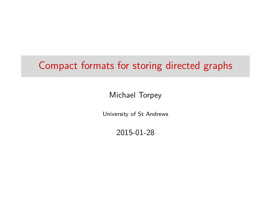## Compact formats for storing directed graphs

Michael Torpey

University of St Andrews

2015-01-28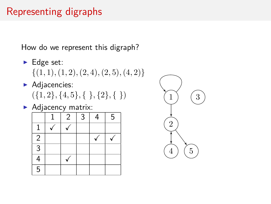## Representing digraphs

How do we represent this digraph?

- $\blacktriangleright$  Edge set: {(1*,* 1)*,*(1*,* 2)*,*(2*,* 4)*,*(2*,* 5)*,*(4*,* 2)}
- $\blacktriangleright$  Adjacencies: ({1*,* 2}*,* {4*,* 5}*,* { }*,* {2}*,* { })
- $\blacktriangleright$  Adjacency matrix:

|                | $\overline{2}$ | 3 | 5 |
|----------------|----------------|---|---|
|                |                |   |   |
| $\sqrt{2}$     |                |   |   |
| $\overline{3}$ |                |   |   |
| 4              |                |   |   |
| $\overline{5}$ |                |   |   |

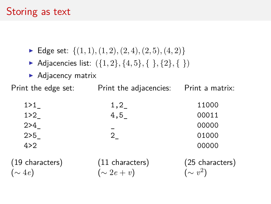## Storing as text

- Edge set:  $\{(1, 1), (1, 2), (2, 4), (2, 5), (4, 2)\}\$
- $\triangleright$  Adjacencies list:  $({1, 2}, {4, 5}, { }, {2}, {})$
- $\blacktriangleright$  Adjacency matrix

Print the edge set: Print the adjacencies: Print a matrix:

| 1 > 1 | 1,2 | 11000 |
|-------|-----|-------|
| 1 > 2 | 4,5 | 00011 |
| 2 > 4 |     | 00000 |
| 2 > 5 | 2   | 01000 |
| 4 > 2 |     | 00000 |
|       |     |       |

(19 characters) (∼ 4*e*) (11 characters)  $(\sim 2e + v)$ (25 characters) (∼ *v* 2 )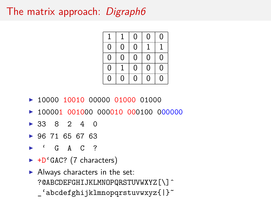## The matrix approach: Digraph6



- ► 10000 10010 00000 01000 01000
- $\triangleright$  100001 001000 000010 000100 000000
- $\triangleright$  33 8 2 4 0
- $\geq 96$  71 65 67 63
- $\sim$  $G$  A C ?
- ► +D'GAC? (7 characters)
- $\blacktriangleright$  Always characters in the set: ?@ABCDEFGHIJKLMNOPQRSTUVWXYZ[\]^ \_'abcdefghijklmnopqrstuvwxyz{|}~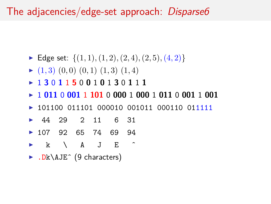The adjacencies/edge-set approach: Disparse6

- Edge set:  $\{(1, 1), (1, 2), (2, 4), (2, 5), (4, 2)\}$
- $\blacktriangleright$  (1, 3) (0, 0) (0, 1) (1, 3) (1, 4)
- <sup>I</sup> 1 **3** 0 **1** 1 **5** 0 **0** 1 **0** 1 **3** 0 **1** 1 **1**
- <sup>I</sup> 1 **011** 0 **001** 1 **101** 0 **000** 1 **000** 1 **011** 0 **001** 1 **001**
- ▶ 101100 011101 000010 001011 000110 011111
- <sup>I</sup> 44 29 2 11 6 31
- ▶ 107 92 65 74 69 94
- $\triangleright$  k \ A J E  $\hat{}$
- $\blacktriangleright$  . Dk\AJE^ (9 characters)